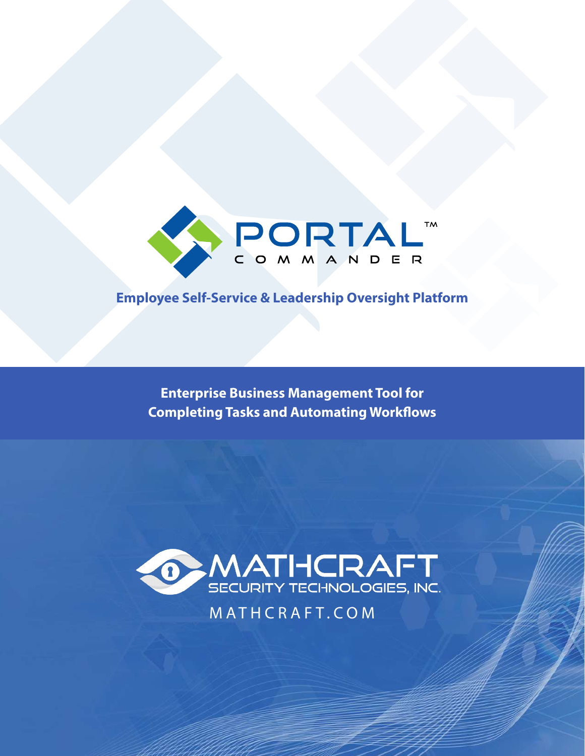

# **Employee Self-Service & Leadership Oversight Platform**

**Enterprise Business Management Tool for Completing Tasks and Automating Workflows**



MATHCRAFT.COM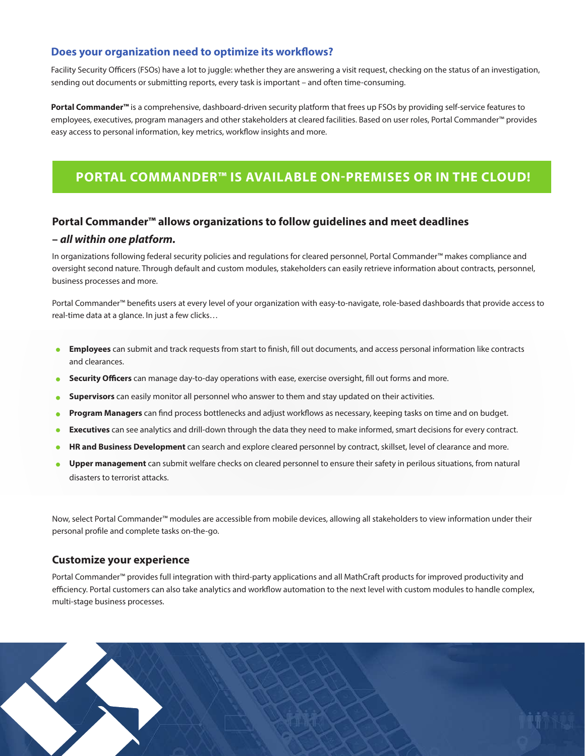# **Does your organization need to optimize its workflows?**

Facility Security Officers (FSOs) have a lot to juggle: whether they are answering a visit request, checking on the status of an investigation, sending out documents or submitting reports, every task is important – and often time-consuming.

**Portal Commander™** is a comprehensive, dashboard-driven security platform that frees up FSOs by providing self-service features to employees, executives, program managers and other stakeholders at cleared facilities. Based on user roles, Portal Commander™ provides easy access to personal information, key metrics, workflow insights and more.

# **PORTAL COMMANDER™ IS AVAILABLE ON-PREMISES OR IN THE CLOUD!**

#### **Portal Commander™ allows organizations to follow guidelines and meet deadlines**

#### **– all within one platform.**

In organizations following federal security policies and regulations for cleared personnel, Portal Commander™ makes compliance and oversight second nature. Through default and custom modules, stakeholders can easily retrieve information about contracts, personnel, business processes and more.

Portal Commander™ benefits users at every level of your organization with easy-to-navigate, role-based dashboards that provide access to real-time data at a glance. In just a few clicks…

- **Employees** can submit and track requests from start to finish, fill out documents, and access personal information like contracts and clearances.
- **Security Officers** can manage day-to-day operations with ease, exercise oversight, fill out forms and more.
- **Supervisors** can easily monitor all personnel who answer to them and stay updated on their activities.  $\bullet$
- **Program Managers** can find process bottlenecks and adjust workflows as necessary, keeping tasks on time and on budget.
- **Executives** can see analytics and drill-down through the data they need to make informed, smart decisions for every contract.
- **HR and Business Development** can search and explore cleared personnel by contract, skillset, level of clearance and more.
- **Upper management** can submit welfare checks on cleared personnel to ensure their safety in perilous situations, from natural disasters to terrorist attacks.

Now, select Portal Commander™ modules are accessible from mobile devices, allowing all stakeholders to view information under their personal profile and complete tasks on-the-go.

#### **Customize your experience**

Portal Commander™ provides full integration with third-party applications and all MathCraft products for improved productivity and efficiency. Portal customers can also take analytics and workflow automation to the next level with custom modules to handle complex, multi-stage business processes.

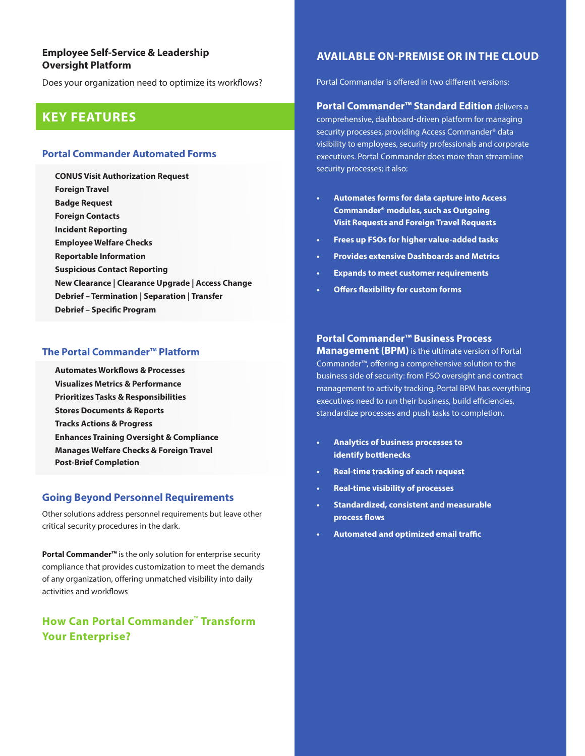## **Employee Self-Service & Leadership Oversight Platform**

Does your organization need to optimize its workflows?

# **KEY FEATURES**

#### **Portal Commander Automated Forms**

**CONUS Visit Authorization Request Foreign Travel Badge Request Foreign Contacts Incident Reporting Employee Welfare Checks Reportable Information Suspicious Contact Reporting New Clearance | Clearance Upgrade | Access Change Debrief – Termination | Separation | Transfer Debrief – Specific Program**

#### **The Portal Commander™ Platform**

**Automates Workflows & Processes Visualizes Metrics & Performance Prioritizes Tasks & Responsibilities Stores Documents & Reports Tracks Actions & Progress Enhances Training Oversight & Compliance Manages Welfare Checks & Foreign Travel Post-Brief Completion**

#### **Going Beyond Personnel Requirements**

Other solutions address personnel requirements but leave other critical security procedures in the dark.

**Portal Commander™** is the only solution for enterprise security compliance that provides customization to meet the demands of any organization, offering unmatched visibility into daily activities and workflows

# **How Can Portal Commander™ Transform Your Enterprise?**

# **AVAILABLE ON-PREMISE OR IN THE CLOUD**

Portal Commander is offered in two different versions:

### **Portal Commander™ Standard Edition** delivers a

comprehensive, dashboard-driven platform for managing security processes, providing Access Commander® data visibility to employees, security professionals and corporate executives. Portal Commander does more than streamline security processes; it also:

- **Automates forms for data capture into Access Commander® modules, such as Outgoing Visit Requests and Foreign Travel Requests**
- **Frees up FSOs for higher value-added tasks**
- **Provides extensive Dashboards and Metrics**
- **Expands to meet customer requirements**
- **Offers flexibility for custom forms**

#### **Portal Commander™ Business Process**

**Management (BPM)** is the ultimate version of Portal Commander™, offering a comprehensive solution to the business side of security: from FSO oversight and contract management to activity tracking, Portal BPM has everything executives need to run their business, build efficiencies, standardize processes and push tasks to completion.

- **Analytics of business processes to identify bottlenecks**
- **Real-time tracking of each request**
- **Real-time visibility of processes**
- **Standardized, consistent and measurable process flows**
- **Automated and optimized email traffic**